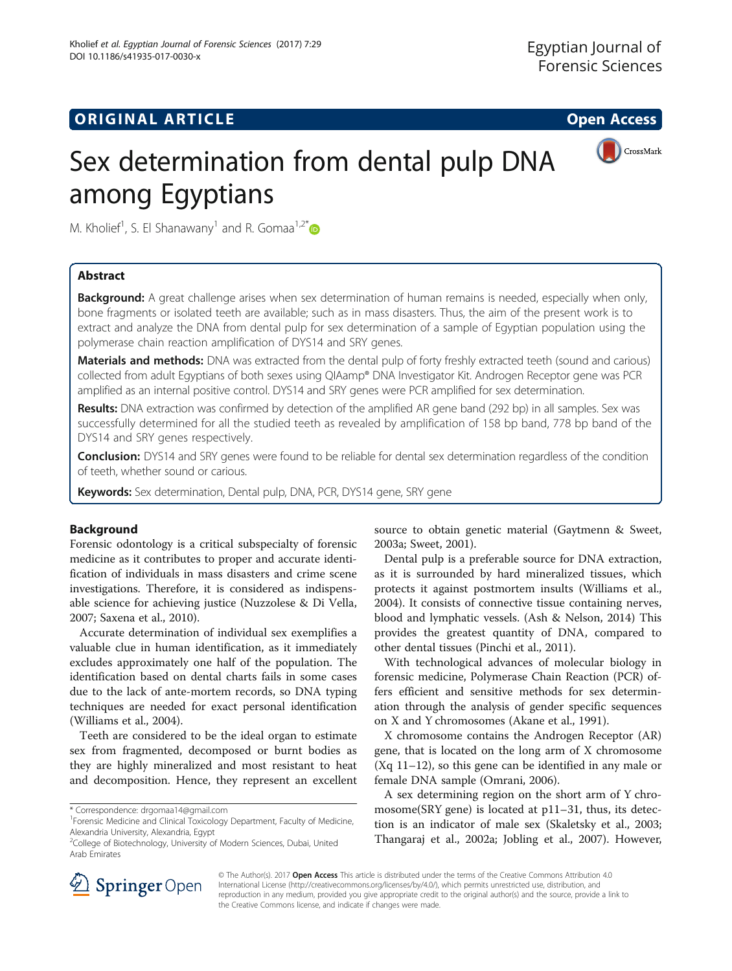# **ORIGINAL ARTICLE CONSUMING A LIGACION** CONSUMING A LIGACION CONSUMING A LIGACION CONSUMING A LIGACION CONSUMING A LIGACION CONSUMING A LIGACION CONSUMING A LIGACION CONSUMING A LIGACION CONSUMING A LIGACION CONSUMING A



# Sex determination from dental pulp DNA among Egyptians

M. Kholief<sup>1</sup>, S. El Shanawany<sup>1</sup> and R. Gomaa<sup>1,2\*</sup>

# Abstract

Background: A great challenge arises when sex determination of human remains is needed, especially when only, bone fragments or isolated teeth are available; such as in mass disasters. Thus, the aim of the present work is to extract and analyze the DNA from dental pulp for sex determination of a sample of Egyptian population using the polymerase chain reaction amplification of DYS14 and SRY genes.

Materials and methods: DNA was extracted from the dental pulp of forty freshly extracted teeth (sound and carious) collected from adult Egyptians of both sexes using QIAamp® DNA Investigator Kit. Androgen Receptor gene was PCR amplified as an internal positive control. DYS14 and SRY genes were PCR amplified for sex determination.

Results: DNA extraction was confirmed by detection of the amplified AR gene band (292 bp) in all samples. Sex was successfully determined for all the studied teeth as revealed by amplification of 158 bp band, 778 bp band of the DYS14 and SRY genes respectively.

Conclusion: DYS14 and SRY genes were found to be reliable for dental sex determination regardless of the condition of teeth, whether sound or carious.

Keywords: Sex determination, Dental pulp, DNA, PCR, DYS14 gene, SRY gene

# Background

Forensic odontology is a critical subspecialty of forensic medicine as it contributes to proper and accurate identification of individuals in mass disasters and crime scene investigations. Therefore, it is considered as indispensable science for achieving justice (Nuzzolese & Di Vella, [2007](#page-6-0); Saxena et al., [2010](#page-6-0)).

Accurate determination of individual sex exemplifies a valuable clue in human identification, as it immediately excludes approximately one half of the population. The identification based on dental charts fails in some cases due to the lack of ante-mortem records, so DNA typing techniques are needed for exact personal identification (Williams et al., [2004\)](#page-6-0).

Teeth are considered to be the ideal organ to estimate sex from fragmented, decomposed or burnt bodies as they are highly mineralized and most resistant to heat and decomposition. Hence, they represent an excellent

source to obtain genetic material (Gaytmenn & Sweet, [2003a;](#page-6-0) Sweet, [2001\)](#page-6-0).

Dental pulp is a preferable source for DNA extraction, as it is surrounded by hard mineralized tissues, which protects it against postmortem insults (Williams et al., [2004](#page-6-0)). It consists of connective tissue containing nerves, blood and lymphatic vessels. (Ash & Nelson, [2014\)](#page-6-0) This provides the greatest quantity of DNA, compared to other dental tissues (Pinchi et al., [2011](#page-6-0)).

With technological advances of molecular biology in forensic medicine, Polymerase Chain Reaction (PCR) offers efficient and sensitive methods for sex determination through the analysis of gender specific sequences on X and Y chromosomes (Akane et al., [1991\)](#page-6-0).

X chromosome contains the Androgen Receptor (AR) gene, that is located on the long arm of X chromosome (Xq 11–12), so this gene can be identified in any male or female DNA sample (Omrani, [2006](#page-6-0)).

A sex determining region on the short arm of Y chromosome(SRY gene) is located at p11–31, thus, its detection is an indicator of male sex (Skaletsky et al., [2003](#page-6-0); Thangaraj et al., [2002a;](#page-6-0) Jobling et al., [2007\)](#page-6-0). However,



© The Author(s). 2017 **Open Access** This article is distributed under the terms of the Creative Commons Attribution 4.0 International License ([http://creativecommons.org/licenses/by/4.0/\)](http://creativecommons.org/licenses/by/4.0/), which permits unrestricted use, distribution, and reproduction in any medium, provided you give appropriate credit to the original author(s) and the source, provide a link to the Creative Commons license, and indicate if changes were made.

<sup>\*</sup> Correspondence: [drgomaa14@gmail.com](mailto:drgomaa14@gmail.com) <sup>1</sup>

<sup>&</sup>lt;sup>1</sup> Forensic Medicine and Clinical Toxicology Department, Faculty of Medicine, Alexandria University, Alexandria, Egypt

<sup>&</sup>lt;sup>2</sup>College of Biotechnology, University of Modern Sciences, Dubai, United Arab Emirates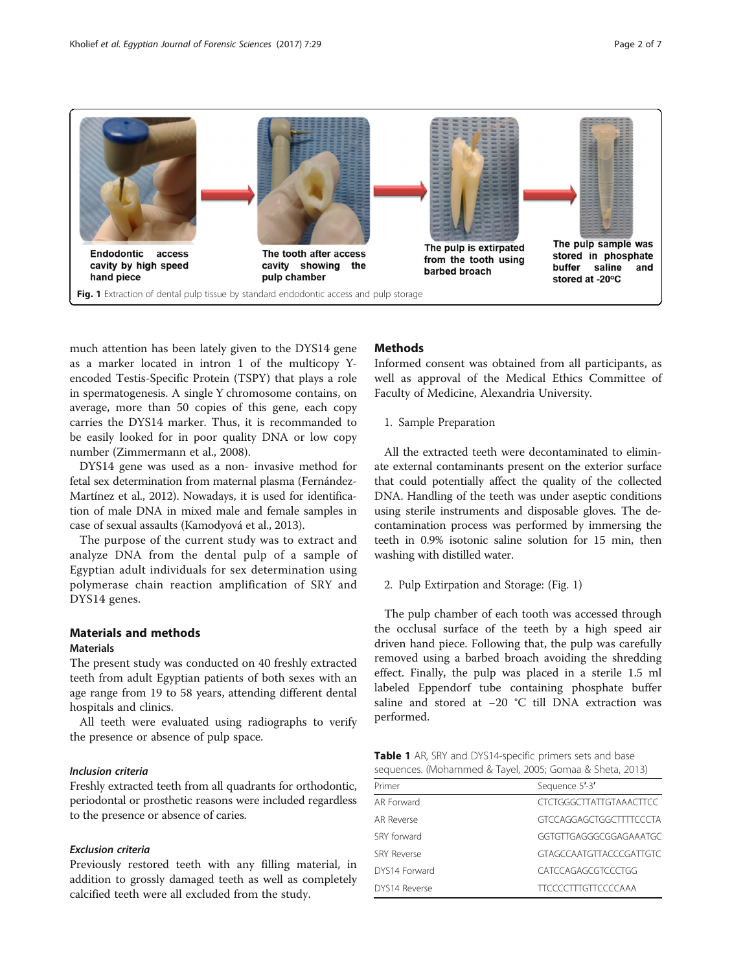<span id="page-1-0"></span>

much attention has been lately given to the DYS14 gene as a marker located in intron 1 of the multicopy Yencoded Testis-Specific Protein (TSPY) that plays a role in spermatogenesis. A single Y chromosome contains, on average, more than 50 copies of this gene, each copy carries the DYS14 marker. Thus, it is recommanded to be easily looked for in poor quality DNA or low copy number (Zimmermann et al., [2008\)](#page-6-0).

DYS14 gene was used as a non- invasive method for fetal sex determination from maternal plasma (Fernández-Martínez et al., [2012\)](#page-6-0). Nowadays, it is used for identification of male DNA in mixed male and female samples in case of sexual assaults (Kamodyová et al., [2013\)](#page-6-0).

The purpose of the current study was to extract and analyze DNA from the dental pulp of a sample of Egyptian adult individuals for sex determination using polymerase chain reaction amplification of SRY and DYS14 genes.

# Materials and methods

# Materials

The present study was conducted on 40 freshly extracted teeth from adult Egyptian patients of both sexes with an age range from 19 to 58 years, attending different dental hospitals and clinics.

All teeth were evaluated using radiographs to verify the presence or absence of pulp space.

### Inclusion criteria

Freshly extracted teeth from all quadrants for orthodontic, periodontal or prosthetic reasons were included regardless to the presence or absence of caries.

#### Exclusion criteria

Previously restored teeth with any filling material, in addition to grossly damaged teeth as well as completely calcified teeth were all excluded from the study.

## **Methods**

Informed consent was obtained from all participants, as well as approval of the Medical Ethics Committee of Faculty of Medicine, Alexandria University.

1. Sample Preparation

All the extracted teeth were decontaminated to eliminate external contaminants present on the exterior surface that could potentially affect the quality of the collected DNA. Handling of the teeth was under aseptic conditions using sterile instruments and disposable gloves. The decontamination process was performed by immersing the teeth in 0.9% isotonic saline solution for 15 min, then washing with distilled water.

2. Pulp Extirpation and Storage: (Fig. 1)

The pulp chamber of each tooth was accessed through the occlusal surface of the teeth by a high speed air driven hand piece. Following that, the pulp was carefully removed using a barbed broach avoiding the shredding effect. Finally, the pulp was placed in a sterile 1.5 ml labeled Eppendorf tube containing phosphate buffer saline and stored at −20 °C till DNA extraction was performed.

| <b>Table 1</b> AR, SRY and DYS14-specific primers sets and base |  |  |  |
|-----------------------------------------------------------------|--|--|--|
| sequences. (Mohammed & Tayel, 2005; Gomaa & Sheta, 2013)        |  |  |  |

| Primer             | Sequence 5'-3'                 |
|--------------------|--------------------------------|
| AR Forward         | <b>CTCTGGGCTTATTGTAAACTTCC</b> |
| AR Reverse         | GTCCAGGAGCTGGCTTTTCCCTA        |
| SRY forward        | GGTGTTGAGGGCGGAGAAATGC         |
| <b>SRY Reverse</b> | <b>GTAGCCAATGTTACCCGATTGTC</b> |
| DYS14 Forward      | CATCCAGAGCGTCCCTGG             |
| DYS14 Reverse      | <b>TTCCCCTTTGTTCCCCAAA</b>     |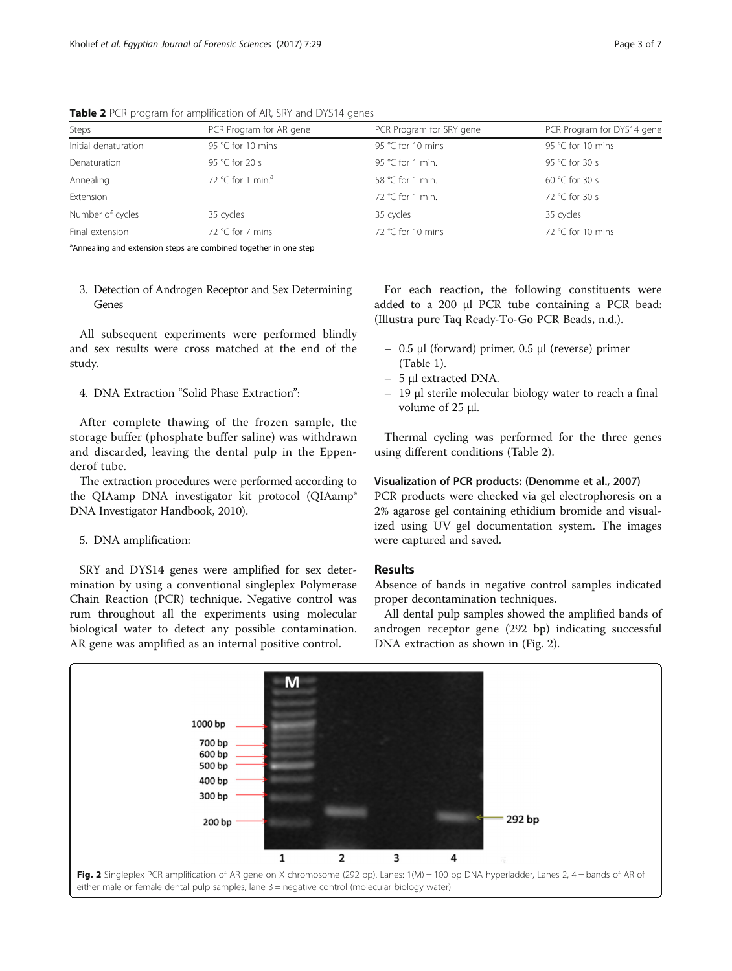| Steps                | PCR Program for AR gene       | PCR Program for SRY gene | PCR Program for DYS14 gene |
|----------------------|-------------------------------|--------------------------|----------------------------|
| Initial denaturation | 95 °C for 10 mins             | 95 °C for 10 mins        | 95 °C for 10 mins          |
| Denaturation         | 95 °C for 20 s                | 95 °C for 1 min.         | 95 °C for 30 s             |
| Annealing            | 72 °C for 1 min. <sup>a</sup> | 58 °C for 1 min.         | 60 °C for 30 s             |
| Extension            |                               | 72 °C for 1 min.         | 72 °C for 30 s             |
| Number of cycles     | 35 cycles                     | 35 cycles                | 35 cycles                  |
| Final extension      | 72 °C for 7 mins              | 72 °C for 10 mins        | 72 °C for 10 mins          |

Table 2 PCR program for amplification of AR, SRY and DYS14 genes

<sup>a</sup>Annealing and extension steps are combined together in one step

3. Detection of Androgen Receptor and Sex Determining Genes

All subsequent experiments were performed blindly and sex results were cross matched at the end of the study.

4. DNA Extraction "Solid Phase Extraction":

After complete thawing of the frozen sample, the storage buffer (phosphate buffer saline) was withdrawn and discarded, leaving the dental pulp in the Eppenderof tube.

The extraction procedures were performed according to the QIAamp DNA investigator kit protocol (QIAamp® DNA Investigator Handbook, [2010\)](#page-6-0).

#### 5. DNA amplification:

SRY and DYS14 genes were amplified for sex determination by using a conventional singleplex Polymerase Chain Reaction (PCR) technique. Negative control was rum throughout all the experiments using molecular biological water to detect any possible contamination. AR gene was amplified as an internal positive control.

For each reaction, the following constituents were added to a 200 μl PCR tube containing a PCR bead: (Illustra pure Taq Ready-To-Go PCR Beads, [n.d.\)](#page-6-0).

- 0.5 μl (forward) primer, 0.5 μl (reverse) primer (Table [1](#page-1-0)).
- 5 μl extracted DNA.
- 19 μl sterile molecular biology water to reach a final volume of 25 μl.

Thermal cycling was performed for the three genes using different conditions (Table 2).

#### Visualization of PCR products: (Denomme et al., [2007\)](#page-6-0)

PCR products were checked via gel electrophoresis on a 2% agarose gel containing ethidium bromide and visualized using UV gel documentation system. The images were captured and saved.

### Results

Absence of bands in negative control samples indicated proper decontamination techniques.

All dental pulp samples showed the amplified bands of androgen receptor gene (292 bp) indicating successful DNA extraction as shown in (Fig. 2).

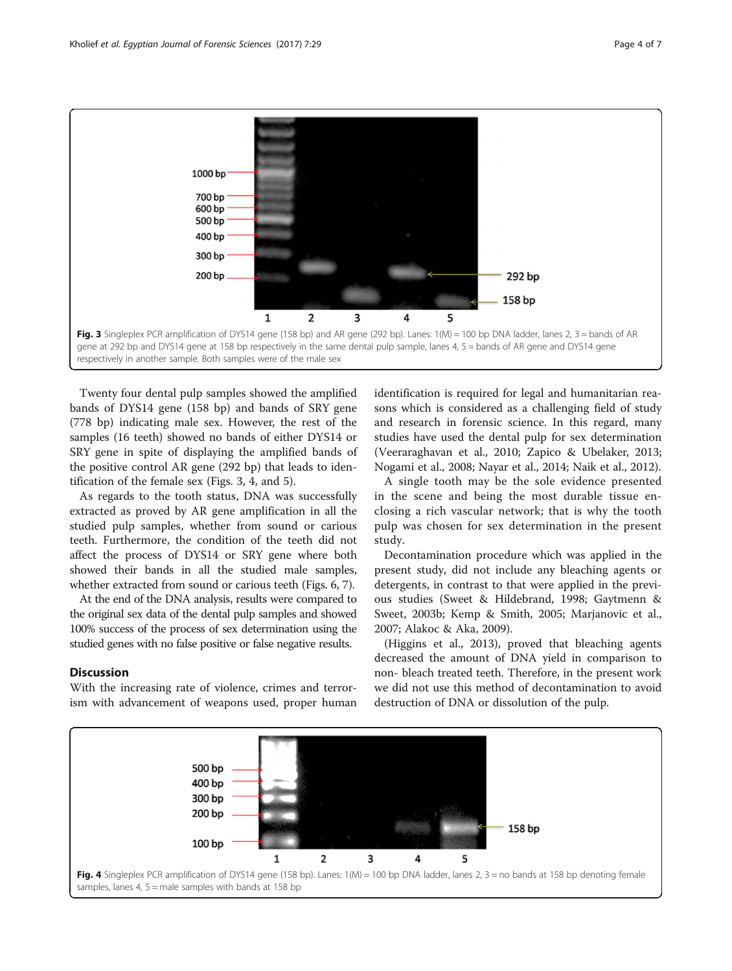

Twenty four dental pulp samples showed the amplified bands of DYS14 gene (158 bp) and bands of SRY gene (778 bp) indicating male sex. However, the rest of the samples (16 teeth) showed no bands of either DYS14 or SRY gene in spite of displaying the amplified bands of the positive control AR gene (292 bp) that leads to identification of the female sex (Figs. 3, 4, and [5\)](#page-4-0).

As regards to the tooth status, DNA was successfully extracted as proved by AR gene amplification in all the studied pulp samples, whether from sound or carious teeth. Furthermore, the condition of the teeth did not affect the process of DYS14 or SRY gene where both showed their bands in all the studied male samples, whether extracted from sound or carious teeth (Figs. [6](#page-4-0), [7\)](#page-5-0).

At the end of the DNA analysis, results were compared to the original sex data of the dental pulp samples and showed 100% success of the process of sex determination using the studied genes with no false positive or false negative results.

#### **Discussion**

With the increasing rate of violence, crimes and terrorism with advancement of weapons used, proper human

identification is required for legal and humanitarian reasons which is considered as a challenging field of study and research in forensic science. In this regard, many studies have used the dental pulp for sex determination (Veeraraghavan et al., [2010;](#page-6-0) Zapico & Ubelaker, [2013](#page-6-0); Nogami et al., [2008](#page-6-0); Nayar et al., [2014](#page-6-0); Naik et al., [2012\)](#page-6-0).

A single tooth may be the sole evidence presented in the scene and being the most durable tissue enclosing a rich vascular network; that is why the tooth pulp was chosen for sex determination in the present study.

Decontamination procedure which was applied in the present study, did not include any bleaching agents or detergents, in contrast to that were applied in the previous studies (Sweet & Hildebrand, [1998;](#page-6-0) Gaytmenn & Sweet, [2003b](#page-6-0); Kemp & Smith, [2005;](#page-6-0) Marjanovic et al., [2007](#page-6-0); Alakoc & Aka, [2009\)](#page-6-0).

(Higgins et al., [2013](#page-6-0)), proved that bleaching agents decreased the amount of DNA yield in comparison to non- bleach treated teeth. Therefore, in the present work we did not use this method of decontamination to avoid destruction of DNA or dissolution of the pulp.

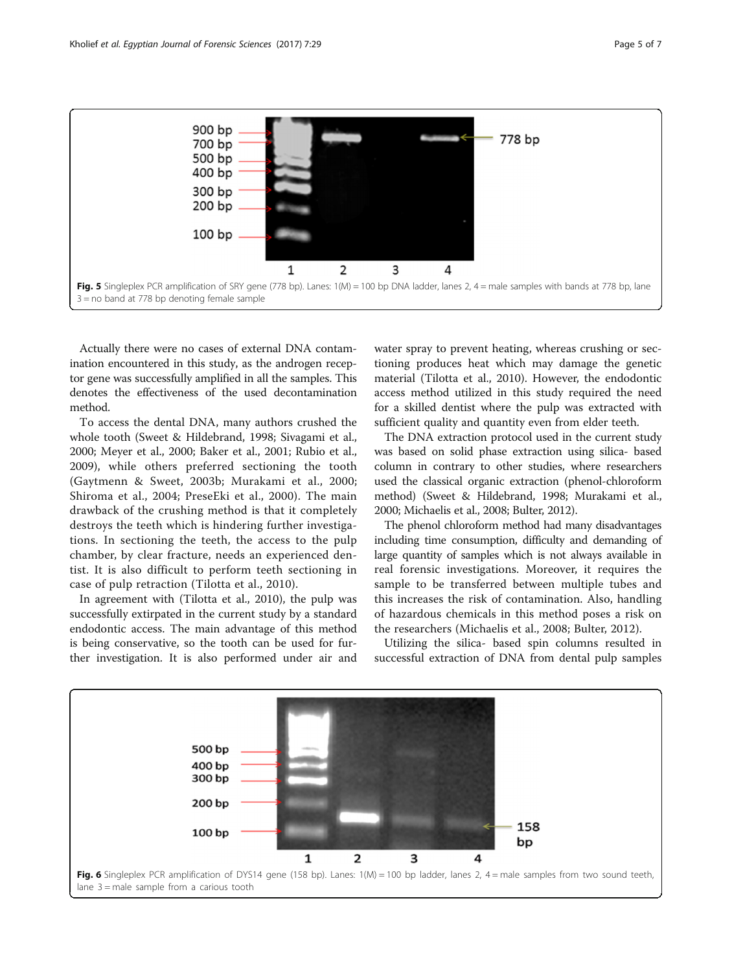<span id="page-4-0"></span>

Actually there were no cases of external DNA contamination encountered in this study, as the androgen receptor gene was successfully amplified in all the samples. This denotes the effectiveness of the used decontamination method.

To access the dental DNA, many authors crushed the whole tooth (Sweet & Hildebrand, [1998;](#page-6-0) Sivagami et al., [2000](#page-6-0); Meyer et al., [2000;](#page-6-0) Baker et al., [2001;](#page-6-0) Rubio et al., [2009](#page-6-0)), while others preferred sectioning the tooth (Gaytmenn & Sweet, [2003b](#page-6-0); Murakami et al., [2000](#page-6-0); Shiroma et al., [2004](#page-6-0); PreseEki et al., [2000](#page-6-0)). The main drawback of the crushing method is that it completely destroys the teeth which is hindering further investigations. In sectioning the teeth, the access to the pulp chamber, by clear fracture, needs an experienced dentist. It is also difficult to perform teeth sectioning in case of pulp retraction (Tilotta et al., [2010](#page-6-0)).

In agreement with (Tilotta et al., [2010\)](#page-6-0), the pulp was successfully extirpated in the current study by a standard endodontic access. The main advantage of this method is being conservative, so the tooth can be used for further investigation. It is also performed under air and water spray to prevent heating, whereas crushing or sectioning produces heat which may damage the genetic material (Tilotta et al., [2010\)](#page-6-0). However, the endodontic access method utilized in this study required the need for a skilled dentist where the pulp was extracted with sufficient quality and quantity even from elder teeth.

The DNA extraction protocol used in the current study was based on solid phase extraction using silica- based column in contrary to other studies, where researchers used the classical organic extraction (phenol-chloroform method) (Sweet & Hildebrand, [1998](#page-6-0); Murakami et al., [2000;](#page-6-0) Michaelis et al., [2008](#page-6-0); Bulter, [2012\)](#page-6-0).

The phenol chloroform method had many disadvantages including time consumption, difficulty and demanding of large quantity of samples which is not always available in real forensic investigations. Moreover, it requires the sample to be transferred between multiple tubes and this increases the risk of contamination. Also, handling of hazardous chemicals in this method poses a risk on the researchers (Michaelis et al., [2008;](#page-6-0) Bulter, [2012](#page-6-0)).

Utilizing the silica- based spin columns resulted in successful extraction of DNA from dental pulp samples

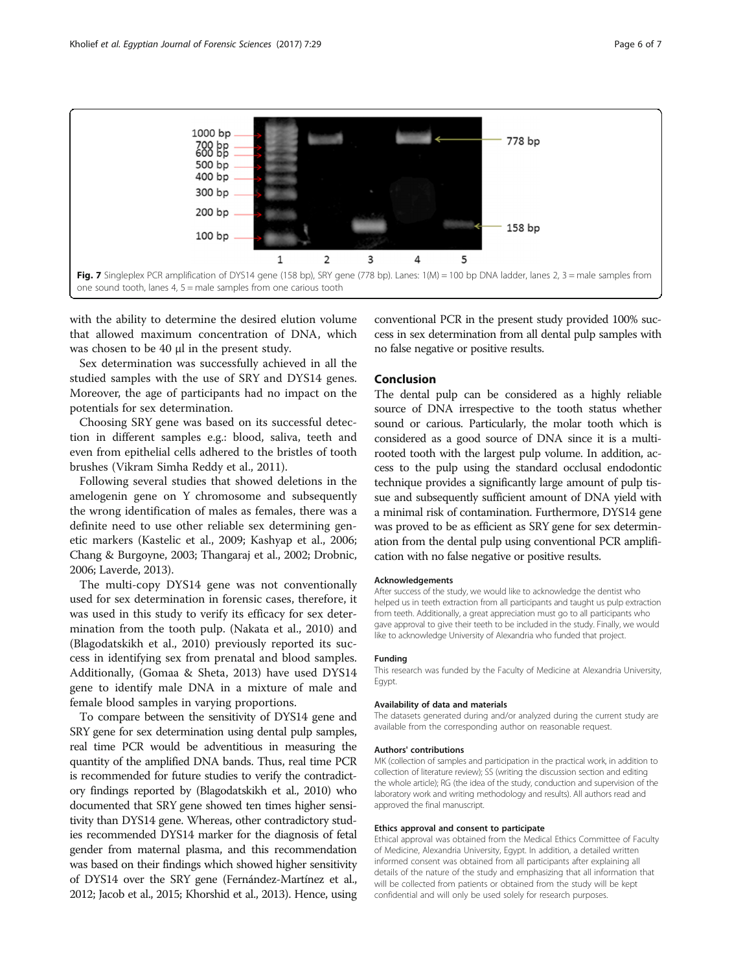<span id="page-5-0"></span>

with the ability to determine the desired elution volume that allowed maximum concentration of DNA, which was chosen to be 40 μl in the present study.

Sex determination was successfully achieved in all the studied samples with the use of SRY and DYS14 genes. Moreover, the age of participants had no impact on the potentials for sex determination.

Choosing SRY gene was based on its successful detection in different samples e.g.: blood, saliva, teeth and even from epithelial cells adhered to the bristles of tooth brushes (Vikram Simha Reddy et al., [2011\)](#page-6-0).

Following several studies that showed deletions in the amelogenin gene on Y chromosome and subsequently the wrong identification of males as females, there was a definite need to use other reliable sex determining genetic markers (Kastelic et al., [2009;](#page-6-0) Kashyap et al., [2006](#page-6-0); Chang & Burgoyne, [2003](#page-6-0); Thangaraj et al., [2002](#page-6-0); Drobnic, [2006;](#page-6-0) Laverde, [2013](#page-6-0)).

The multi-copy DYS14 gene was not conventionally used for sex determination in forensic cases, therefore, it was used in this study to verify its efficacy for sex determination from the tooth pulp. (Nakata et al., [2010\)](#page-6-0) and (Blagodatskikh et al., [2010\)](#page-6-0) previously reported its success in identifying sex from prenatal and blood samples. Additionally, (Gomaa & Sheta, [2013\)](#page-6-0) have used DYS14 gene to identify male DNA in a mixture of male and female blood samples in varying proportions.

To compare between the sensitivity of DYS14 gene and SRY gene for sex determination using dental pulp samples, real time PCR would be adventitious in measuring the quantity of the amplified DNA bands. Thus, real time PCR is recommended for future studies to verify the contradictory findings reported by (Blagodatskikh et al., [2010](#page-6-0)) who documented that SRY gene showed ten times higher sensitivity than DYS14 gene. Whereas, other contradictory studies recommended DYS14 marker for the diagnosis of fetal gender from maternal plasma, and this recommendation was based on their findings which showed higher sensitivity of DYS14 over the SRY gene (Fernández-Martínez et al., [2012;](#page-6-0) Jacob et al., [2015](#page-6-0); Khorshid et al., [2013\)](#page-6-0). Hence, using

conventional PCR in the present study provided 100% success in sex determination from all dental pulp samples with no false negative or positive results.

### Conclusion

The dental pulp can be considered as a highly reliable source of DNA irrespective to the tooth status whether sound or carious. Particularly, the molar tooth which is considered as a good source of DNA since it is a multirooted tooth with the largest pulp volume. In addition, access to the pulp using the standard occlusal endodontic technique provides a significantly large amount of pulp tissue and subsequently sufficient amount of DNA yield with a minimal risk of contamination. Furthermore, DYS14 gene was proved to be as efficient as SRY gene for sex determination from the dental pulp using conventional PCR amplification with no false negative or positive results.

#### Acknowledgements

After success of the study, we would like to acknowledge the dentist who helped us in teeth extraction from all participants and taught us pulp extraction from teeth. Additionally, a great appreciation must go to all participants who gave approval to give their teeth to be included in the study. Finally, we would like to acknowledge University of Alexandria who funded that project.

#### Funding

This research was funded by the Faculty of Medicine at Alexandria University, Egypt.

#### Availability of data and materials

The datasets generated during and/or analyzed during the current study are available from the corresponding author on reasonable request.

#### Authors' contributions

MK (collection of samples and participation in the practical work, in addition to collection of literature review); SS (writing the discussion section and editing the whole article); RG (the idea of the study, conduction and supervision of the laboratory work and writing methodology and results). All authors read and approved the final manuscript.

#### Ethics approval and consent to participate

Ethical approval was obtained from the Medical Ethics Committee of Faculty of Medicine, Alexandria University, Egypt. In addition, a detailed written informed consent was obtained from all participants after explaining all details of the nature of the study and emphasizing that all information that will be collected from patients or obtained from the study will be kept confidential and will only be used solely for research purposes.